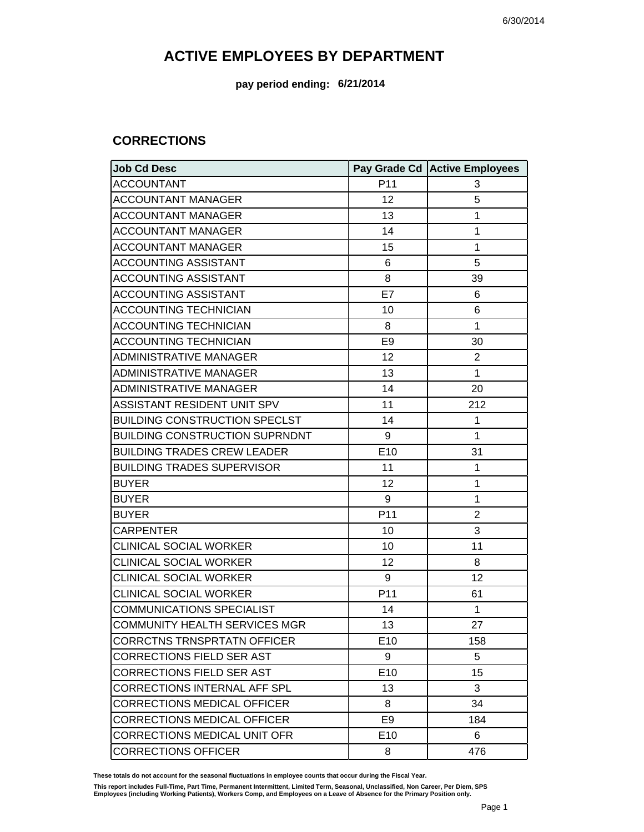**pay period ending: 6/21/2014**

### **CORRECTIONS**

| <b>Job Cd Desc</b>                    |                 | Pay Grade Cd Active Employees |
|---------------------------------------|-----------------|-------------------------------|
| <b>ACCOUNTANT</b>                     | P11             | 3                             |
| <b>ACCOUNTANT MANAGER</b>             | 12              | 5                             |
| <b>ACCOUNTANT MANAGER</b>             | 13              | 1                             |
| <b>ACCOUNTANT MANAGER</b>             | 14              | $\mathbf{1}$                  |
| <b>ACCOUNTANT MANAGER</b>             | 15              | 1                             |
| <b>ACCOUNTING ASSISTANT</b>           | 6               | 5                             |
| <b>ACCOUNTING ASSISTANT</b>           | 8               | 39                            |
| <b>ACCOUNTING ASSISTANT</b>           | E7              | 6                             |
| <b>ACCOUNTING TECHNICIAN</b>          | 10              | 6                             |
| <b>ACCOUNTING TECHNICIAN</b>          | 8               | $\mathbf{1}$                  |
| <b>ACCOUNTING TECHNICIAN</b>          | E <sub>9</sub>  | 30                            |
| <b>ADMINISTRATIVE MANAGER</b>         | 12              | 2                             |
| <b>ADMINISTRATIVE MANAGER</b>         | 13              | $\mathbf{1}$                  |
| <b>ADMINISTRATIVE MANAGER</b>         | 14              | 20                            |
| ASSISTANT RESIDENT UNIT SPV           | 11              | 212                           |
| <b>BUILDING CONSTRUCTION SPECLST</b>  | 14              | 1                             |
| <b>BUILDING CONSTRUCTION SUPRNDNT</b> | 9               | $\mathbf{1}$                  |
| <b>BUILDING TRADES CREW LEADER</b>    | E10             | 31                            |
| <b>BUILDING TRADES SUPERVISOR</b>     | 11              | $\mathbf{1}$                  |
| <b>BUYER</b>                          | 12              | $\mathbf{1}$                  |
| <b>BUYER</b>                          | 9               | 1                             |
| <b>BUYER</b>                          | P11             | $\overline{2}$                |
| <b>CARPENTER</b>                      | 10              | 3                             |
| <b>CLINICAL SOCIAL WORKER</b>         | 10              | 11                            |
| <b>CLINICAL SOCIAL WORKER</b>         | 12              | 8                             |
| <b>CLINICAL SOCIAL WORKER</b>         | 9               | 12                            |
| <b>CLINICAL SOCIAL WORKER</b>         | P11             | 61                            |
| <b>COMMUNICATIONS SPECIALIST</b>      | 14              | 1                             |
| <b>COMMUNITY HEALTH SERVICES MGR</b>  | 13              | 27                            |
| <b>CORRCTNS TRNSPRTATN OFFICER</b>    | E <sub>10</sub> | 158                           |
| <b>CORRECTIONS FIELD SER AST</b>      | 9               | 5                             |
| <b>CORRECTIONS FIELD SER AST</b>      | E10             | 15                            |
| <b>CORRECTIONS INTERNAL AFF SPL</b>   | 13              | 3                             |
| <b>CORRECTIONS MEDICAL OFFICER</b>    | 8               | 34                            |
| <b>CORRECTIONS MEDICAL OFFICER</b>    | E <sub>9</sub>  | 184                           |
| <b>CORRECTIONS MEDICAL UNIT OFR</b>   | E10             | 6                             |
| <b>CORRECTIONS OFFICER</b>            | 8               | 476                           |

**These totals do not account for the seasonal fluctuations in employee counts that occur during the Fiscal Year.**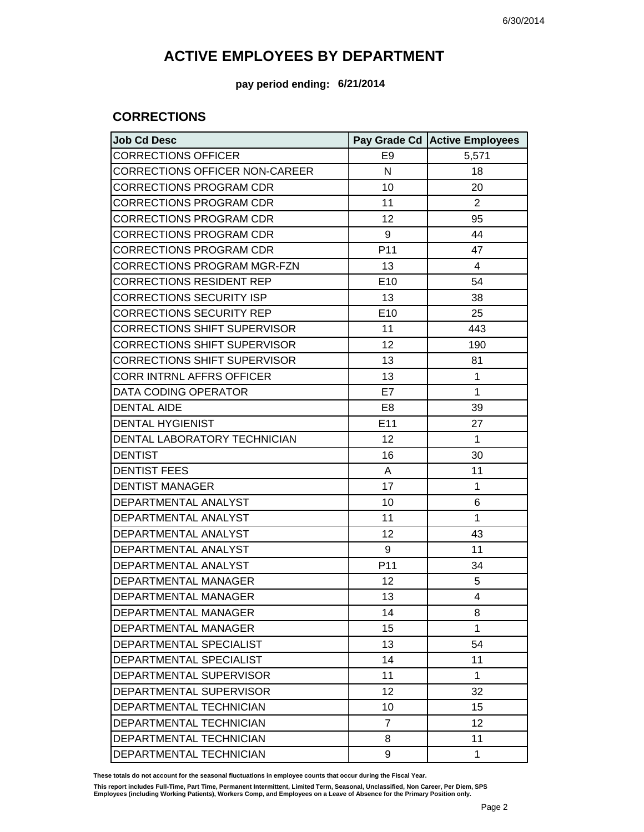#### **pay period ending: 6/21/2014**

### **CORRECTIONS**

| <b>Job Cd Desc</b>                    |                | Pay Grade Cd Active Employees |
|---------------------------------------|----------------|-------------------------------|
| <b>CORRECTIONS OFFICER</b>            | E <sub>9</sub> | 5,571                         |
| <b>CORRECTIONS OFFICER NON-CAREER</b> | N              | 18                            |
| <b>CORRECTIONS PROGRAM CDR</b>        | 10             | 20                            |
| <b>CORRECTIONS PROGRAM CDR</b>        | 11             | $\overline{2}$                |
| <b>CORRECTIONS PROGRAM CDR</b>        | 12             | 95                            |
| <b>CORRECTIONS PROGRAM CDR</b>        | 9              | 44                            |
| <b>CORRECTIONS PROGRAM CDR</b>        | P11            | 47                            |
| <b>CORRECTIONS PROGRAM MGR-FZN</b>    | 13             | 4                             |
| <b>CORRECTIONS RESIDENT REP</b>       | E10            | 54                            |
| <b>CORRECTIONS SECURITY ISP</b>       | 13             | 38                            |
| <b>CORRECTIONS SECURITY REP</b>       | E10            | 25                            |
| <b>CORRECTIONS SHIFT SUPERVISOR</b>   | 11             | 443                           |
| <b>CORRECTIONS SHIFT SUPERVISOR</b>   | 12             | 190                           |
| <b>CORRECTIONS SHIFT SUPERVISOR</b>   | 13             | 81                            |
| <b>CORR INTRNL AFFRS OFFICER</b>      | 13             | $\mathbf{1}$                  |
| DATA CODING OPERATOR                  | E7             | $\mathbf{1}$                  |
| <b>DENTAL AIDE</b>                    | E <sub>8</sub> | 39                            |
| <b>DENTAL HYGIENIST</b>               | E11            | 27                            |
| DENTAL LABORATORY TECHNICIAN          | 12             | $\mathbf{1}$                  |
| <b>DENTIST</b>                        | 16             | 30                            |
| <b>DENTIST FEES</b>                   | A              | 11                            |
| <b>DENTIST MANAGER</b>                | 17             | $\mathbf{1}$                  |
| DEPARTMENTAL ANALYST                  | 10             | 6                             |
| DEPARTMENTAL ANALYST                  | 11             | $\mathbf{1}$                  |
| DEPARTMENTAL ANALYST                  | 12             | 43                            |
| DEPARTMENTAL ANALYST                  | 9              | 11                            |
| DEPARTMENTAL ANALYST                  | P11            | 34                            |
| DEPARTMENTAL MANAGER                  | 12             | 5                             |
| DEPARTMENTAL MANAGER                  | 13             | $\overline{4}$                |
| <b>DEPARTMENTAL MANAGER</b>           | 14             | 8                             |
| DEPARTMENTAL MANAGER                  | 15             | 1                             |
| DEPARTMENTAL SPECIALIST               | 13             | 54                            |
| DEPARTMENTAL SPECIALIST               | 14             | 11                            |
| DEPARTMENTAL SUPERVISOR               | 11             | 1                             |
| DEPARTMENTAL SUPERVISOR               | 12             | 32                            |
| DEPARTMENTAL TECHNICIAN               | 10             | 15                            |
| DEPARTMENTAL TECHNICIAN               | $\overline{7}$ | 12                            |
| DEPARTMENTAL TECHNICIAN               | 8              | 11                            |
| DEPARTMENTAL TECHNICIAN               | 9              | $\mathbf{1}$                  |

**These totals do not account for the seasonal fluctuations in employee counts that occur during the Fiscal Year.**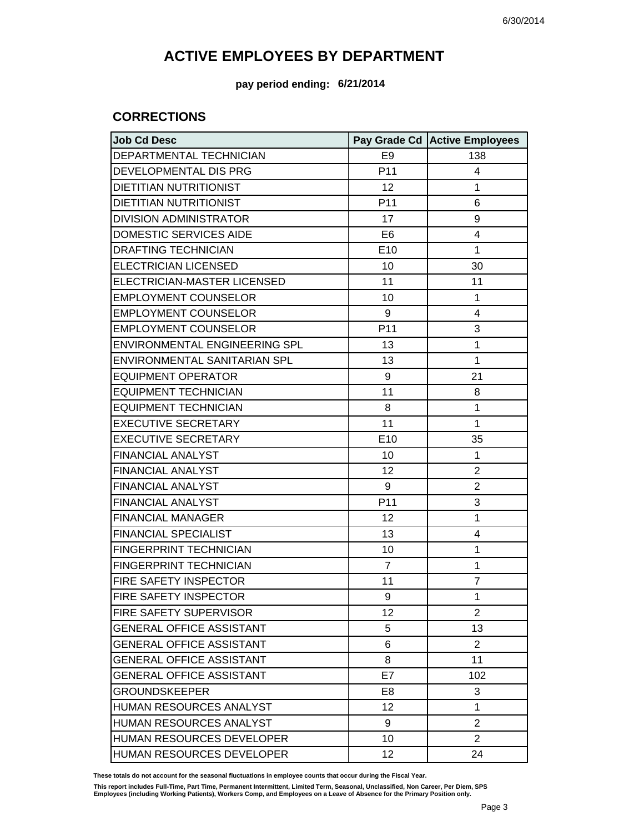**pay period ending: 6/21/2014**

### **CORRECTIONS**

| <b>Job Cd Desc</b>               |                | Pay Grade Cd Active Employees |
|----------------------------------|----------------|-------------------------------|
| DEPARTMENTAL TECHNICIAN          | E <sub>9</sub> | 138                           |
| DEVELOPMENTAL DIS PRG            | P11            | 4                             |
| <b>DIETITIAN NUTRITIONIST</b>    | 12             | 1                             |
| <b>DIETITIAN NUTRITIONIST</b>    | P11            | 6                             |
| <b>DIVISION ADMINISTRATOR</b>    | 17             | 9                             |
| <b>DOMESTIC SERVICES AIDE</b>    | E <sub>6</sub> | 4                             |
| <b>DRAFTING TECHNICIAN</b>       | E10            | $\mathbf{1}$                  |
| <b>ELECTRICIAN LICENSED</b>      | 10             | 30                            |
| ELECTRICIAN-MASTER LICENSED      | 11             | 11                            |
| <b>EMPLOYMENT COUNSELOR</b>      | 10             | $\mathbf{1}$                  |
| <b>EMPLOYMENT COUNSELOR</b>      | 9              | $\overline{4}$                |
| <b>EMPLOYMENT COUNSELOR</b>      | P11            | 3                             |
| ENVIRONMENTAL ENGINEERING SPL    | 13             | 1                             |
| ENVIRONMENTAL SANITARIAN SPL     | 13             | $\mathbf{1}$                  |
| <b>EQUIPMENT OPERATOR</b>        | 9              | 21                            |
| <b>EQUIPMENT TECHNICIAN</b>      | 11             | 8                             |
| <b>EQUIPMENT TECHNICIAN</b>      | 8              | 1                             |
| <b>EXECUTIVE SECRETARY</b>       | 11             | $\mathbf{1}$                  |
| <b>EXECUTIVE SECRETARY</b>       | E10            | 35                            |
| <b>FINANCIAL ANALYST</b>         | 10             | $\mathbf{1}$                  |
| <b>FINANCIAL ANALYST</b>         | 12             | $\overline{2}$                |
| <b>FINANCIAL ANALYST</b>         | 9              | $\overline{2}$                |
| <b>FINANCIAL ANALYST</b>         | P11            | 3                             |
| <b>FINANCIAL MANAGER</b>         | 12             | $\mathbf{1}$                  |
| <b>FINANCIAL SPECIALIST</b>      | 13             | 4                             |
| <b>FINGERPRINT TECHNICIAN</b>    | 10             | 1                             |
| FINGERPRINT TECHNICIAN           | $\overline{7}$ | 1                             |
| FIRE SAFETY INSPECTOR            | 11             | $\overline{7}$                |
| <b>FIRE SAFETY INSPECTOR</b>     | 9              | $\mathbf{1}$                  |
| FIRE SAFETY SUPERVISOR           | 12             | 2                             |
| <b>GENERAL OFFICE ASSISTANT</b>  | 5              | 13                            |
| <b>GENERAL OFFICE ASSISTANT</b>  | 6              | $\overline{2}$                |
| <b>GENERAL OFFICE ASSISTANT</b>  | 8              | 11                            |
| <b>GENERAL OFFICE ASSISTANT</b>  | E7             | 102                           |
| <b>GROUNDSKEEPER</b>             | E <sub>8</sub> | 3                             |
| <b>HUMAN RESOURCES ANALYST</b>   | 12             | $\mathbf{1}$                  |
| HUMAN RESOURCES ANALYST          | 9              | $\overline{2}$                |
| <b>HUMAN RESOURCES DEVELOPER</b> | 10             | $\overline{2}$                |
| HUMAN RESOURCES DEVELOPER        | 12             | 24                            |

**These totals do not account for the seasonal fluctuations in employee counts that occur during the Fiscal Year.**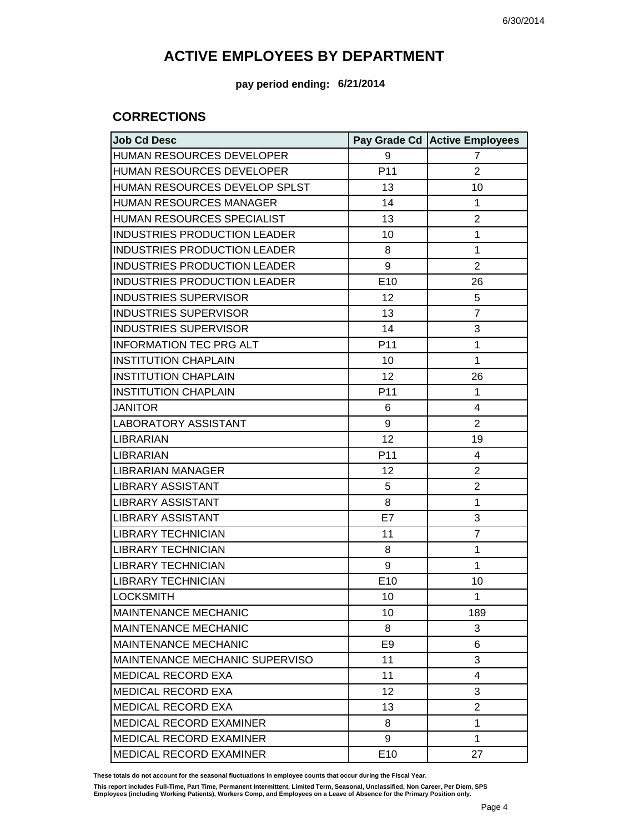#### **pay period ending: 6/21/2014**

### **CORRECTIONS**

| <b>Job Cd Desc</b>                  |                | Pay Grade Cd Active Employees |
|-------------------------------------|----------------|-------------------------------|
| HUMAN RESOURCES DEVELOPER           | 9              | 7                             |
| HUMAN RESOURCES DEVELOPER           | P11            | $\overline{2}$                |
| HUMAN RESOURCES DEVELOP SPLST       | 13             | 10                            |
| <b>HUMAN RESOURCES MANAGER</b>      | 14             | 1                             |
| HUMAN RESOURCES SPECIALIST          | 13             | $\overline{2}$                |
| <b>INDUSTRIES PRODUCTION LEADER</b> | 10             | 1                             |
| INDUSTRIES PRODUCTION LEADER        | 8              | 1                             |
| INDUSTRIES PRODUCTION LEADER        | 9              | $\overline{2}$                |
| INDUSTRIES PRODUCTION LEADER        | E10            | 26                            |
| <b>INDUSTRIES SUPERVISOR</b>        | 12             | 5                             |
| <b>INDUSTRIES SUPERVISOR</b>        | 13             | $\overline{7}$                |
| <b>INDUSTRIES SUPERVISOR</b>        | 14             | 3                             |
| <b>INFORMATION TEC PRG ALT</b>      | P11            | 1                             |
| <b>INSTITUTION CHAPLAIN</b>         | 10             | $\mathbf{1}$                  |
| <b>INSTITUTION CHAPLAIN</b>         | 12             | 26                            |
| <b>INSTITUTION CHAPLAIN</b>         | P11            | $\mathbf{1}$                  |
| <b>JANITOR</b>                      | 6              | $\overline{4}$                |
| <b>LABORATORY ASSISTANT</b>         | 9              | $\overline{2}$                |
| <b>LIBRARIAN</b>                    | 12             | 19                            |
| <b>LIBRARIAN</b>                    | P11            | 4                             |
| <b>LIBRARIAN MANAGER</b>            | 12             | $\overline{2}$                |
| <b>LIBRARY ASSISTANT</b>            | 5              | $\overline{2}$                |
| <b>LIBRARY ASSISTANT</b>            | 8              | 1                             |
| <b>LIBRARY ASSISTANT</b>            | E7             | 3                             |
| <b>LIBRARY TECHNICIAN</b>           | 11             | $\overline{7}$                |
| <b>LIBRARY TECHNICIAN</b>           | 8              | $\mathbf{1}$                  |
| <b>LIBRARY TECHNICIAN</b>           | 9              | 1                             |
| <b>LIBRARY TECHNICIAN</b>           | E10            | 10                            |
| <b>LOCKSMITH</b>                    | 10             | $\mathbf{1}$                  |
| <b>MAINTENANCE MECHANIC</b>         | 10             | 189                           |
| <b>MAINTENANCE MECHANIC</b>         | 8              | 3                             |
| <b>MAINTENANCE MECHANIC</b>         | E <sub>9</sub> | 6                             |
| MAINTENANCE MECHANIC SUPERVISO      | 11             | 3                             |
| <b>MEDICAL RECORD EXA</b>           | 11             | 4                             |
| <b>MEDICAL RECORD EXA</b>           | 12             | 3                             |
| <b>MEDICAL RECORD EXA</b>           | 13             | $\overline{2}$                |
| <b>MEDICAL RECORD EXAMINER</b>      | 8              | 1                             |
| <b>MEDICAL RECORD EXAMINER</b>      | 9              | $\mathbf{1}$                  |
| MEDICAL RECORD EXAMINER             | E10            | 27                            |

**These totals do not account for the seasonal fluctuations in employee counts that occur during the Fiscal Year.**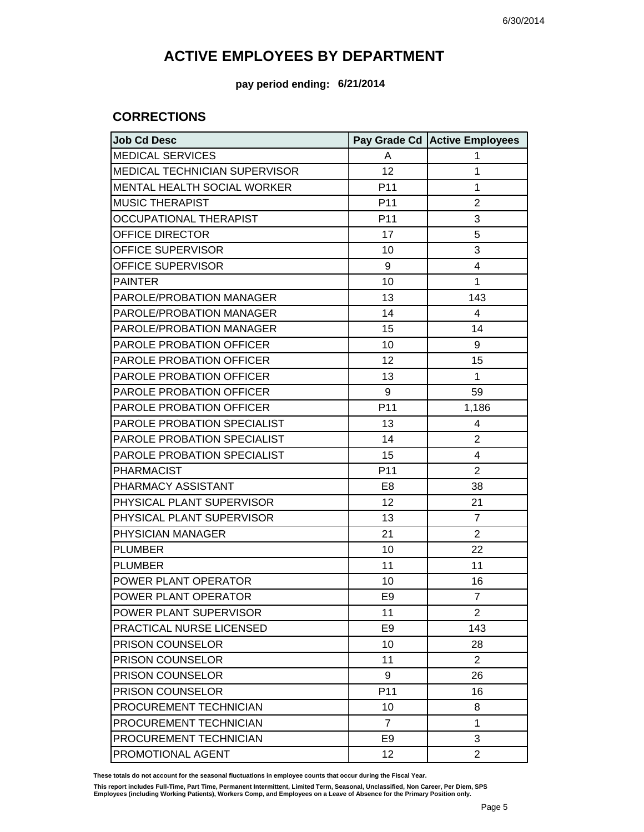**pay period ending: 6/21/2014**

### **CORRECTIONS**

| <b>Job Cd Desc</b>                   |                 | Pay Grade Cd Active Employees |
|--------------------------------------|-----------------|-------------------------------|
| <b>MEDICAL SERVICES</b>              | A               | 1                             |
| <b>MEDICAL TECHNICIAN SUPERVISOR</b> | 12              | 1                             |
| MENTAL HEALTH SOCIAL WORKER          | P <sub>11</sub> | 1                             |
| <b>MUSIC THERAPIST</b>               | P <sub>11</sub> | $\overline{2}$                |
| <b>OCCUPATIONAL THERAPIST</b>        | P <sub>11</sub> | 3                             |
| OFFICE DIRECTOR                      | 17              | 5                             |
| OFFICE SUPERVISOR                    | 10              | 3                             |
| OFFICE SUPERVISOR                    | 9               | 4                             |
| <b>PAINTER</b>                       | 10              | 1                             |
| PAROLE/PROBATION MANAGER             | 13              | 143                           |
| PAROLE/PROBATION MANAGER             | 14              | 4                             |
| PAROLE/PROBATION MANAGER             | 15              | 14                            |
| PAROLE PROBATION OFFICER             | 10              | 9                             |
| PAROLE PROBATION OFFICER             | 12              | 15                            |
| PAROLE PROBATION OFFICER             | 13              | $\mathbf{1}$                  |
| PAROLE PROBATION OFFICER             | 9               | 59                            |
| PAROLE PROBATION OFFICER             | P11             | 1,186                         |
| PAROLE PROBATION SPECIALIST          | 13              | 4                             |
| PAROLE PROBATION SPECIALIST          | 14              | $\overline{2}$                |
| PAROLE PROBATION SPECIALIST          | 15              | 4                             |
| <b>PHARMACIST</b>                    | P11             | $\overline{2}$                |
| PHARMACY ASSISTANT                   | E8              | 38                            |
| PHYSICAL PLANT SUPERVISOR            | 12              | 21                            |
| PHYSICAL PLANT SUPERVISOR            | 13              | $\overline{7}$                |
| PHYSICIAN MANAGER                    | 21              | $\overline{2}$                |
| <b>PLUMBER</b>                       | 10              | 22                            |
| <b>PLUMBER</b>                       | 11              | 11                            |
| POWER PLANT OPERATOR                 | 10              | 16                            |
| POWER PLANT OPERATOR                 | E <sub>9</sub>  | $\overline{7}$                |
| POWER PLANT SUPERVISOR               | 11              | $\overline{2}$                |
| PRACTICAL NURSE LICENSED             | E <sub>9</sub>  | 143                           |
| <b>PRISON COUNSELOR</b>              | 10              | 28                            |
| PRISON COUNSELOR                     | 11              | $\overline{2}$                |
| PRISON COUNSELOR                     | 9               | 26                            |
| PRISON COUNSELOR                     | P11             | 16                            |
| PROCUREMENT TECHNICIAN               | 10              | 8                             |
| PROCUREMENT TECHNICIAN               | $\overline{7}$  | 1                             |
| PROCUREMENT TECHNICIAN               | E <sub>9</sub>  | 3                             |
| PROMOTIONAL AGENT                    | 12              | $\overline{2}$                |

**These totals do not account for the seasonal fluctuations in employee counts that occur during the Fiscal Year.**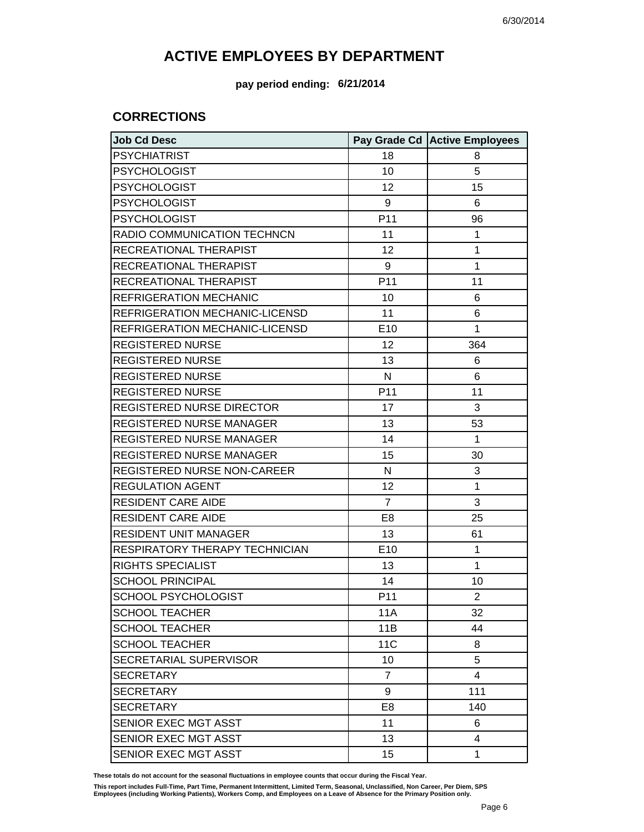**pay period ending: 6/21/2014**

### **CORRECTIONS**

| <b>Job Cd Desc</b>               |                 | Pay Grade Cd Active Employees |
|----------------------------------|-----------------|-------------------------------|
| <b>PSYCHIATRIST</b>              | 18              | 8                             |
| <b>PSYCHOLOGIST</b>              | 10              | 5                             |
| <b>PSYCHOLOGIST</b>              | 12              | 15                            |
| <b>PSYCHOLOGIST</b>              | 9               | 6                             |
| <b>PSYCHOLOGIST</b>              | P11             | 96                            |
| RADIO COMMUNICATION TECHNCN      | 11              | 1                             |
| RECREATIONAL THERAPIST           | 12              | 1                             |
| RECREATIONAL THERAPIST           | 9               | 1                             |
| RECREATIONAL THERAPIST           | P11             | 11                            |
| <b>REFRIGERATION MECHANIC</b>    | 10              | 6                             |
| REFRIGERATION MECHANIC-LICENSD   | 11              | 6                             |
| REFRIGERATION MECHANIC-LICENSD   | E10             | 1                             |
| <b>REGISTERED NURSE</b>          | 12              | 364                           |
| <b>REGISTERED NURSE</b>          | 13              | 6                             |
| <b>REGISTERED NURSE</b>          | N               | 6                             |
| <b>REGISTERED NURSE</b>          | P <sub>11</sub> | 11                            |
| <b>REGISTERED NURSE DIRECTOR</b> | 17              | 3                             |
| <b>REGISTERED NURSE MANAGER</b>  | 13              | 53                            |
| REGISTERED NURSE MANAGER         | 14              | 1                             |
| <b>REGISTERED NURSE MANAGER</b>  | 15              | 30                            |
| REGISTERED NURSE NON-CAREER      | N               | 3                             |
| <b>REGULATION AGENT</b>          | 12              | 1                             |
| <b>RESIDENT CARE AIDE</b>        | $\overline{7}$  | 3                             |
| <b>RESIDENT CARE AIDE</b>        | E <sub>8</sub>  | 25                            |
| <b>RESIDENT UNIT MANAGER</b>     | 13              | 61                            |
| RESPIRATORY THERAPY TECHNICIAN   | E10             | 1                             |
| <b>RIGHTS SPECIALIST</b>         | 13              | 1                             |
| <b>SCHOOL PRINCIPAL</b>          | 14              | 10                            |
| <b>SCHOOL PSYCHOLOGIST</b>       | P <sub>11</sub> | $\overline{2}$                |
| <b>SCHOOL TEACHER</b>            | 11A             | 32                            |
| <b>SCHOOL TEACHER</b>            | 11B             | 44                            |
| <b>SCHOOL TEACHER</b>            | 11C             | 8                             |
| SECRETARIAL SUPERVISOR           | 10              | 5                             |
| <b>SECRETARY</b>                 | $\overline{7}$  | 4                             |
| <b>SECRETARY</b>                 | 9               | 111                           |
| <b>SECRETARY</b>                 | E <sub>8</sub>  | 140                           |
| SENIOR EXEC MGT ASST             | 11              | 6                             |
| SENIOR EXEC MGT ASST             | 13              | 4                             |
| SENIOR EXEC MGT ASST             | 15              | 1                             |

**These totals do not account for the seasonal fluctuations in employee counts that occur during the Fiscal Year.**